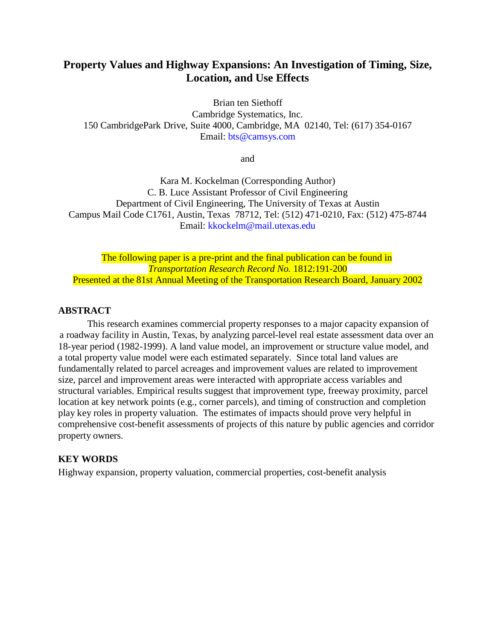# **Property Values and Highway Expansions: An Investigation of Timing, Size, Location, and Use Effects**

Brian ten Siethoff Cambridge Systematics, Inc. 150 CambridgePark Drive, Suite 4000, Cambridge, MA 02140, Tel: (617) 354-0167 Email: [bts@camsys.com](mailto:bts@camsys.com)

and

Kara M. Kockelman (Corresponding Author) C. B. Luce Assistant Professor of Civil Engineering Department of Civil Engineering, The University of Texas at Austin Campus Mail Code C1761, Austin, Texas 78712, Tel: (512) 471-0210, Fax: (512) 475-8744 Email: [kkockelm@mail.utexas.edu](mailto:kkockelm@mail.utexas.edu)

The following paper is a pre-print and the final publication can be found in *Transportation Research Record No.* 1812:191-200 Presented at the 81st Annual Meeting of the Transportation Research Board, January 2002

# **ABSTRACT**

This research examines commercial property responses to a major capacity expansion of a roadway facility in Austin, Texas, by analyzing parcel-level real estate assessment data over an 18-year period (1982-1999). A land value model, an improvement or structure value model, and a total property value model were each estimated separately. Since total land values are fundamentally related to parcel acreages and improvement values are related to improvement size, parcel and improvement areas were interacted with appropriate access variables and structural variables. Empirical results suggest that improvement type, freeway proximity, parcel location at key network points (e.g., corner parcels), and timing of construction and completion play key roles in property valuation. The estimates of impacts should prove very helpful in comprehensive cost-benefit assessments of projects of this nature by public agencies and corridor property owners.

# **KEY WORDS**

Highway expansion, property valuation, commercial properties, cost-benefit analysis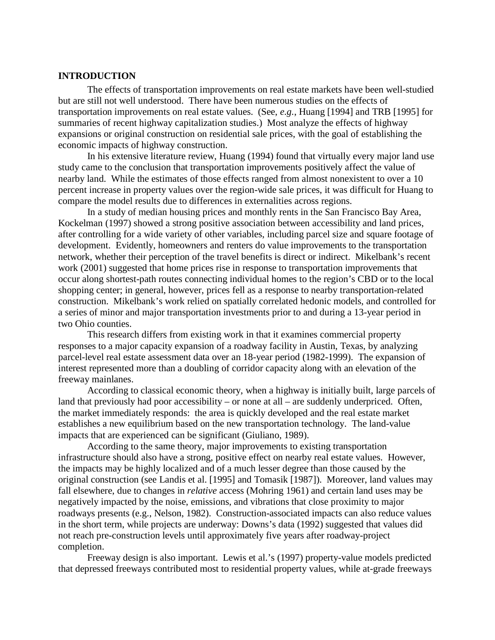### **INTRODUCTION**

The effects of transportation improvements on real estate markets have been well-studied but are still not well understood. There have been numerous studies on the effects of transportation improvements on real estate values. (See, *e.g.*, Huang [1994] and TRB [1995] for summaries of recent highway capitalization studies.) Most analyze the effects of highway expansions or original construction on residential sale prices, with the goal of establishing the economic impacts of highway construction.

In his extensive literature review, Huang (1994) found that virtually every major land use study came to the conclusion that transportation improvements positively affect the value of nearby land. While the estimates of those effects ranged from almost nonexistent to over a 10 percent increase in property values over the region-wide sale prices, it was difficult for Huang to compare the model results due to differences in externalities across regions.

In a study of median housing prices and monthly rents in the San Francisco Bay Area, Kockelman (1997) showed a strong positive association between accessibility and land prices, after controlling for a wide variety of other variables, including parcel size and square footage of development. Evidently, homeowners and renters do value improvements to the transportation network, whether their perception of the travel benefits is direct or indirect. Mikelbank's recent work (2001) suggested that home prices rise in response to transportation improvements that occur along shortest-path routes connecting individual homes to the region's CBD or to the local shopping center; in general, however, prices fell as a response to nearby transportation-related construction. Mikelbank's work relied on spatially correlated hedonic models, and controlled for a series of minor and major transportation investments prior to and during a 13-year period in two Ohio counties.

This research differs from existing work in that it examines commercial property responses to a major capacity expansion of a roadway facility in Austin, Texas, by analyzing parcel-level real estate assessment data over an 18-year period (1982-1999). The expansion of interest represented more than a doubling of corridor capacity along with an elevation of the freeway mainlanes.

According to classical economic theory, when a highway is initially built, large parcels of land that previously had poor accessibility – or none at all – are suddenly underpriced. Often, the market immediately responds: the area is quickly developed and the real estate market establishes a new equilibrium based on the new transportation technology. The land-value impacts that are experienced can be significant (Giuliano, 1989).

According to the same theory, major improvements to existing transportation infrastructure should also have a strong, positive effect on nearby real estate values. However, the impacts may be highly localized and of a much lesser degree than those caused by the original construction (see Landis et al. [1995] and Tomasik [1987]). Moreover, land values may fall elsewhere, due to changes in *relative* access (Mohring 1961) and certain land uses may be negatively impacted by the noise, emissions, and vibrations that close proximity to major roadways presents (e.g., Nelson, 1982). Construction-associated impacts can also reduce values in the short term, while projects are underway: Downs's data (1992) suggested that values did not reach pre-construction levels until approximately five years after roadway-project completion.

Freeway design is also important. Lewis et al.'s (1997) property-value models predicted that depressed freeways contributed most to residential property values, while at-grade freeways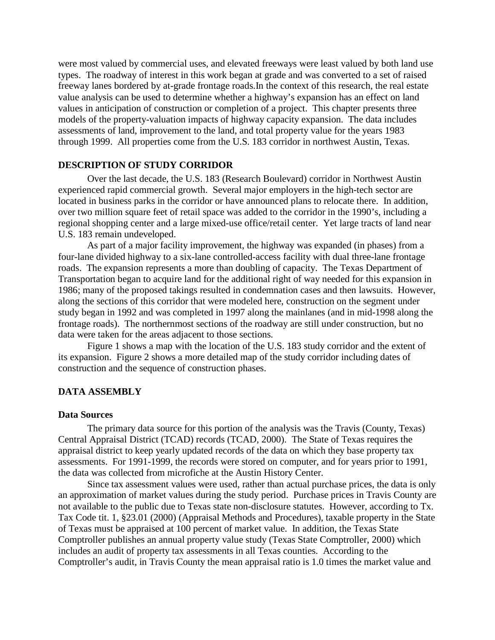were most valued by commercial uses, and elevated freeways were least valued by both land use types. The roadway of interest in this work began at grade and was converted to a set of raised freeway lanes bordered by at-grade frontage roads.In the context of this research, the real estate value analysis can be used to determine whether a highway's expansion has an effect on land values in anticipation of construction or completion of a project. This chapter presents three models of the property-valuation impacts of highway capacity expansion. The data includes assessments of land, improvement to the land, and total property value for the years 1983 through 1999. All properties come from the U.S. 183 corridor in northwest Austin, Texas.

# **DESCRIPTION OF STUDY CORRIDOR**

Over the last decade, the U.S. 183 (Research Boulevard) corridor in Northwest Austin experienced rapid commercial growth. Several major employers in the high-tech sector are located in business parks in the corridor or have announced plans to relocate there. In addition, over two million square feet of retail space was added to the corridor in the 1990's, including a regional shopping center and a large mixed-use office/retail center. Yet large tracts of land near U.S. 183 remain undeveloped.

As part of a major facility improvement, the highway was expanded (in phases) from a four-lane divided highway to a six-lane controlled-access facility with dual three-lane frontage roads. The expansion represents a more than doubling of capacity. The Texas Department of Transportation began to acquire land for the additional right of way needed for this expansion in 1986; many of the proposed takings resulted in condemnation cases and then lawsuits. However, along the sections of this corridor that were modeled here, construction on the segment under study began in 1992 and was completed in 1997 along the mainlanes (and in mid-1998 along the frontage roads). The northernmost sections of the roadway are still under construction, but no data were taken for the areas adjacent to those sections.

Figure 1 shows a map with the location of the U.S. 183 study corridor and the extent of its expansion. Figure 2 shows a more detailed map of the study corridor including dates of construction and the sequence of construction phases.

### **DATA ASSEMBLY**

#### **Data Sources**

The primary data source for this portion of the analysis was the Travis (County, Texas) Central Appraisal District (TCAD) records (TCAD, 2000). The State of Texas requires the appraisal district to keep yearly updated records of the data on which they base property tax assessments. For 1991-1999, the records were stored on computer, and for years prior to 1991, the data was collected from microfiche at the Austin History Center.

Since tax assessment values were used, rather than actual purchase prices, the data is only an approximation of market values during the study period. Purchase prices in Travis County are not available to the public due to Texas state non-disclosure statutes. However, according to Tx. Tax Code tit. 1, §23.01 (2000) (Appraisal Methods and Procedures), taxable property in the State of Texas must be appraised at 100 percent of market value. In addition, the Texas State Comptroller publishes an annual property value study (Texas State Comptroller, 2000) which includes an audit of property tax assessments in all Texas counties. According to the Comptroller's audit, in Travis County the mean appraisal ratio is 1.0 times the market value and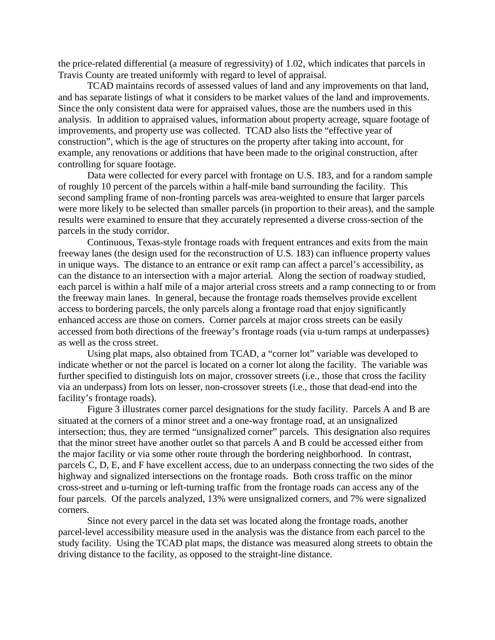the price-related differential (a measure of regressivity) of 1.02, which indicates that parcels in Travis County are treated uniformly with regard to level of appraisal.

TCAD maintains records of assessed values of land and any improvements on that land, and has separate listings of what it considers to be market values of the land and improvements. Since the only consistent data were for appraised values, those are the numbers used in this analysis. In addition to appraised values, information about property acreage, square footage of improvements, and property use was collected. TCAD also lists the "effective year of construction", which is the age of structures on the property after taking into account, for example, any renovations or additions that have been made to the original construction, after controlling for square footage.

Data were collected for every parcel with frontage on U.S. 183, and for a random sample of roughly 10 percent of the parcels within a half-mile band surrounding the facility. This second sampling frame of non-fronting parcels was area-weighted to ensure that larger parcels were more likely to be selected than smaller parcels (in proportion to their areas), and the sample results were examined to ensure that they accurately represented a diverse cross-section of the parcels in the study corridor.

Continuous, Texas-style frontage roads with frequent entrances and exits from the main freeway lanes (the design used for the reconstruction of U.S. 183) can influence property values in unique ways. The distance to an entrance or exit ramp can affect a parcel's accessibility, as can the distance to an intersection with a major arterial. Along the section of roadway studied, each parcel is within a half mile of a major arterial cross streets and a ramp connecting to or from the freeway main lanes. In general, because the frontage roads themselves provide excellent access to bordering parcels, the only parcels along a frontage road that enjoy significantly enhanced access are those on corners. Corner parcels at major cross streets can be easily accessed from both directions of the freeway's frontage roads (via u-turn ramps at underpasses) as well as the cross street.

Using plat maps, also obtained from TCAD, a "corner lot" variable was developed to indicate whether or not the parcel is located on a corner lot along the facility. The variable was further specified to distinguish lots on major, crossover streets (i.e., those that cross the facility via an underpass) from lots on lesser, non-crossover streets (i.e., those that dead-end into the facility's frontage roads).

Figure 3 illustrates corner parcel designations for the study facility. Parcels A and B are situated at the corners of a minor street and a one-way frontage road, at an unsignalized intersection; thus, they are termed "unsignalized corner" parcels. This designation also requires that the minor street have another outlet so that parcels A and B could be accessed either from the major facility or via some other route through the bordering neighborhood. In contrast, parcels C, D, E, and F have excellent access, due to an underpass connecting the two sides of the highway and signalized intersections on the frontage roads. Both cross traffic on the minor cross-street and u-turning or left-turning traffic from the frontage roads can access any of the four parcels. Of the parcels analyzed, 13% were unsignalized corners, and 7% were signalized corners.

Since not every parcel in the data set was located along the frontage roads, another parcel-level accessibility measure used in the analysis was the distance from each parcel to the study facility. Using the TCAD plat maps, the distance was measured along streets to obtain the driving distance to the facility, as opposed to the straight-line distance.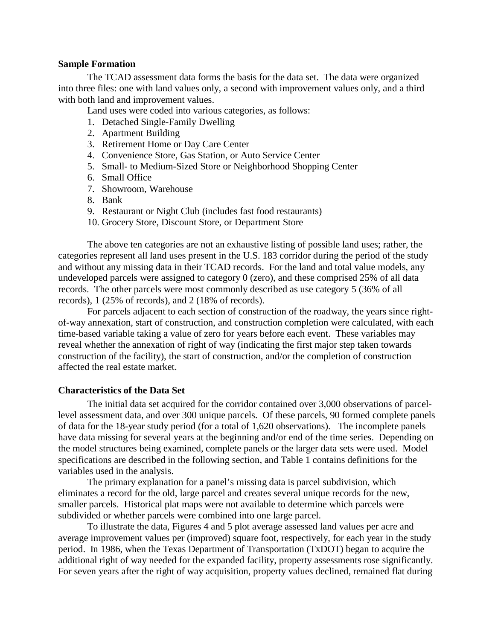### **Sample Formation**

The TCAD assessment data forms the basis for the data set. The data were organized into three files: one with land values only, a second with improvement values only, and a third with both land and improvement values.

Land uses were coded into various categories, as follows:

- 1. Detached Single-Family Dwelling
- 2. Apartment Building
- 3. Retirement Home or Day Care Center
- 4. Convenience Store, Gas Station, or Auto Service Center
- 5. Small- to Medium-Sized Store or Neighborhood Shopping Center
- 6. Small Office
- 7. Showroom, Warehouse
- 8. Bank
- 9. Restaurant or Night Club (includes fast food restaurants)
- 10. Grocery Store, Discount Store, or Department Store

The above ten categories are not an exhaustive listing of possible land uses; rather, the categories represent all land uses present in the U.S. 183 corridor during the period of the study and without any missing data in their TCAD records. For the land and total value models, any undeveloped parcels were assigned to category 0 (zero), and these comprised 25% of all data records. The other parcels were most commonly described as use category 5 (36% of all records), 1 (25% of records), and 2 (18% of records).

For parcels adjacent to each section of construction of the roadway, the years since rightof-way annexation, start of construction, and construction completion were calculated, with each time-based variable taking a value of zero for years before each event. These variables may reveal whether the annexation of right of way (indicating the first major step taken towards construction of the facility), the start of construction, and/or the completion of construction affected the real estate market.

## **Characteristics of the Data Set**

The initial data set acquired for the corridor contained over 3,000 observations of parcellevel assessment data, and over 300 unique parcels. Of these parcels, 90 formed complete panels of data for the 18-year study period (for a total of 1,620 observations). The incomplete panels have data missing for several years at the beginning and/or end of the time series. Depending on the model structures being examined, complete panels or the larger data sets were used. Model specifications are described in the following section, and Table 1 contains definitions for the variables used in the analysis.

The primary explanation for a panel's missing data is parcel subdivision, which eliminates a record for the old, large parcel and creates several unique records for the new, smaller parcels. Historical plat maps were not available to determine which parcels were subdivided or whether parcels were combined into one large parcel.

To illustrate the data, Figures 4 and 5 plot average assessed land values per acre and average improvement values per (improved) square foot, respectively, for each year in the study period. In 1986, when the Texas Department of Transportation (TxDOT) began to acquire the additional right of way needed for the expanded facility, property assessments rose significantly. For seven years after the right of way acquisition, property values declined, remained flat during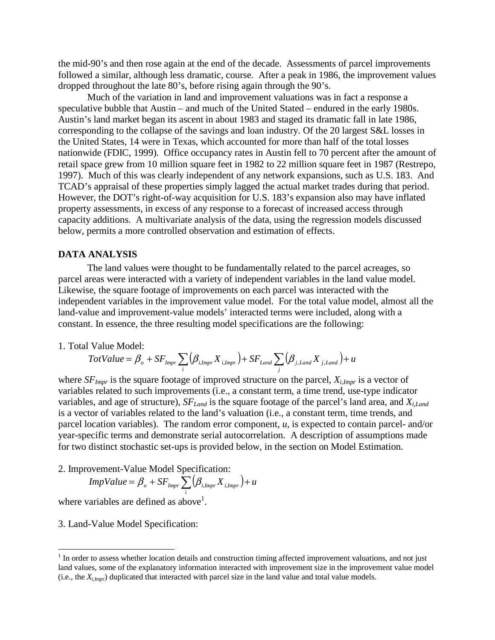the mid-90's and then rose again at the end of the decade. Assessments of parcel improvements followed a similar, although less dramatic, course. After a peak in 1986, the improvement values dropped throughout the late 80's, before rising again through the 90's.

Much of the variation in land and improvement valuations was in fact a response a speculative bubble that Austin – and much of the United Stated – endured in the early 1980s. Austin's land market began its ascent in about 1983 and staged its dramatic fall in late 1986, corresponding to the collapse of the savings and loan industry. Of the 20 largest S&L losses in the United States, 14 were in Texas, which accounted for more than half of the total losses nationwide (FDIC, 1999). Office occupancy rates in Austin fell to 70 percent after the amount of retail space grew from 10 million square feet in 1982 to 22 million square feet in 1987 (Restrepo, 1997). Much of this was clearly independent of any network expansions, such as U.S. 183. And TCAD's appraisal of these properties simply lagged the actual market trades during that period. However, the DOT's right-of-way acquisition for U.S. 183's expansion also may have inflated property assessments, in excess of any response to a forecast of increased access through capacity additions. A multivariate analysis of the data, using the regression models discussed below, permits a more controlled observation and estimation of effects.

### **DATA ANALYSIS**

The land values were thought to be fundamentally related to the parcel acreages, so parcel areas were interacted with a variety of independent variables in the land value model. Likewise, the square footage of improvements on each parcel was interacted with the independent variables in the improvement value model. For the total value model, almost all the land-value and improvement-value models' interacted terms were included, along with a constant. In essence, the three resulting model specifications are the following:

#### 1. Total Value Model:

$$
TotValue = \beta_o + SF_{Impr} \sum_{i} (\beta_{i,Impr} X_{i,Impr}) + SF_{Land} \sum_{j} (\beta_{j, Land} X_{j, Land}) + u
$$

where  $SF_{Impr}$  is the square footage of improved structure on the parcel,  $X_{i,Impr}$  is a vector of variables related to such improvements (i.e., a constant term, a time trend, use-type indicator variables, and age of structure),  $SF_{Land}$  is the square footage of the parcel's land area, and  $X_{i,Land}$ is a vector of variables related to the land's valuation (i.e., a constant term, time trends, and parcel location variables). The random error component, *u*, is expected to contain parcel- and/or year-specific terms and demonstrate serial autocorrelation. A description of assumptions made for two distinct stochastic set-ups is provided below, in the section on Model Estimation.

2. Improvement-Value Model Specification:

$$
ImpValue = \beta_o + SF_{Impr} \sum_{i} (\beta_{i,Impr} X_{i,Impr}) + u
$$

where variables are defined as above<sup>1</sup>.

3. Land-Value Model Specification:

<u>.</u>

<sup>&</sup>lt;sup>1</sup> In order to assess whether location details and construction timing affected improvement valuations, and not just land values, some of the explanatory information interacted with improvement size in the improvement value model (i.e., the *Xi,Impr*) duplicated that interacted with parcel size in the land value and total value models.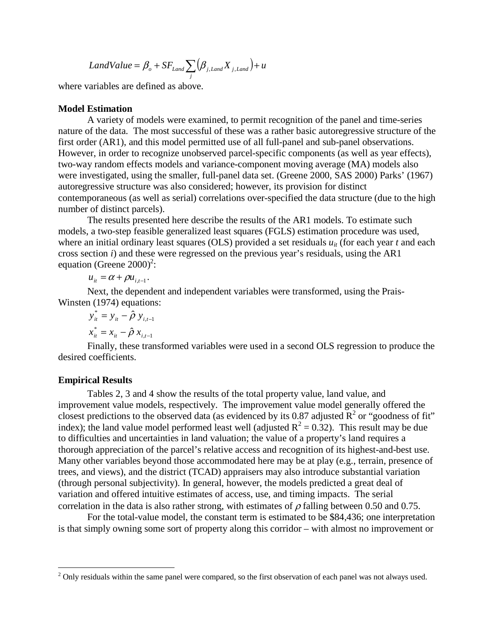$$
LandValue = \beta_o + SF_{Land} \sum_{j} (\beta_{j, Land} X_{j, Land}) + u
$$

where variables are defined as above.

### **Model Estimation**

A variety of models were examined, to permit recognition of the panel and time-series nature of the data. The most successful of these was a rather basic autoregressive structure of the first order (AR1), and this model permitted use of all full-panel and sub-panel observations. However, in order to recognize unobserved parcel-specific components (as well as year effects), two-way random effects models and variance-component moving average (MA) models also were investigated, using the smaller, full-panel data set. (Greene 2000, SAS 2000) Parks' (1967) autoregressive structure was also considered; however, its provision for distinct contemporaneous (as well as serial) correlations over-specified the data structure (due to the high number of distinct parcels).

The results presented here describe the results of the AR1 models. To estimate such models, a two-step feasible generalized least squares (FGLS) estimation procedure was used, where an initial ordinary least squares (OLS) provided a set residuals  $u_{it}$  (for each year *t* and each cross section *i*) and these were regressed on the previous year's residuals, using the AR1 equation (Greene  $2000$ <sup>2</sup>:

 $u_{it} = \alpha + \rho u_{i,t-1}$ .

Next, the dependent and independent variables were transformed, using the Prais-Winsten (1974) equations:

$$
y_{it}^{*} = y_{it} - \hat{\rho} y_{i,t-1}
$$
  

$$
x_{it}^{*} = x_{it} - \hat{\rho} x_{i,t-1}
$$

Finally, these transformed variables were used in a second OLS regression to produce the desired coefficients.

#### **Empirical Results**

<u>.</u>

Tables 2, 3 and 4 show the results of the total property value, land value, and improvement value models, respectively. The improvement value model generally offered the closest predictions to the observed data (as evidenced by its 0.87 adjusted  $\mathbb{R}^2$  or "goodness of fit" index); the land value model performed least well (adjusted  $R^2 = 0.32$ ). This result may be due to difficulties and uncertainties in land valuation; the value of a property's land requires a thorough appreciation of the parcel's relative access and recognition of its highest-and-best use. Many other variables beyond those accommodated here may be at play (e.g., terrain, presence of trees, and views), and the district (TCAD) appraisers may also introduce substantial variation (through personal subjectivity). In general, however, the models predicted a great deal of variation and offered intuitive estimates of access, use, and timing impacts. The serial correlation in the data is also rather strong, with estimates of  $\rho$  falling between 0.50 and 0.75.

For the total-value model, the constant term is estimated to be \$84,436; one interpretation is that simply owning some sort of property along this corridor – with almost no improvement or

 $2$  Only residuals within the same panel were compared, so the first observation of each panel was not always used.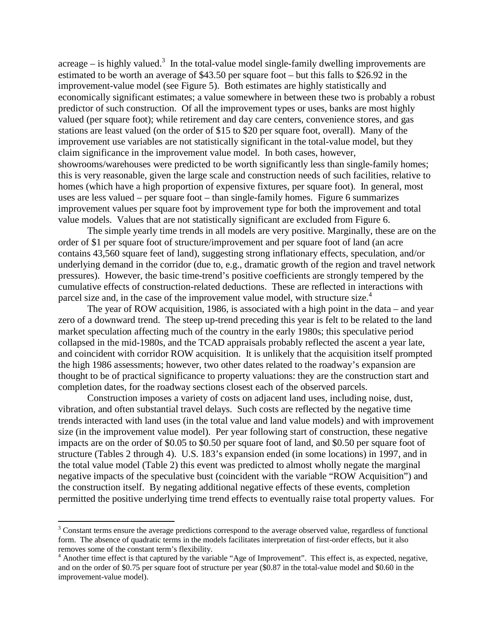acreage – is highly valued.<sup>3</sup> In the total-value model single-family dwelling improvements are estimated to be worth an average of \$43.50 per square foot – but this falls to \$26.92 in the improvement-value model (see Figure 5). Both estimates are highly statistically and economically significant estimates; a value somewhere in between these two is probably a robust predictor of such construction. Of all the improvement types or uses, banks are most highly valued (per square foot); while retirement and day care centers, convenience stores, and gas stations are least valued (on the order of \$15 to \$20 per square foot, overall). Many of the improvement use variables are not statistically significant in the total-value model, but they claim significance in the improvement value model. In both cases, however, showrooms/warehouses were predicted to be worth significantly less than single-family homes; this is very reasonable, given the large scale and construction needs of such facilities, relative to homes (which have a high proportion of expensive fixtures, per square foot). In general, most uses are less valued – per square foot – than single-family homes. Figure 6 summarizes improvement values per square foot by improvement type for both the improvement and total value models. Values that are not statistically significant are excluded from Figure 6.

The simple yearly time trends in all models are very positive. Marginally, these are on the order of \$1 per square foot of structure/improvement and per square foot of land (an acre contains 43,560 square feet of land), suggesting strong inflationary effects, speculation, and/or underlying demand in the corridor (due to, e.g., dramatic growth of the region and travel network pressures). However, the basic time-trend's positive coefficients are strongly tempered by the cumulative effects of construction-related deductions. These are reflected in interactions with parcel size and, in the case of the improvement value model, with structure size.<sup>4</sup>

The year of ROW acquisition, 1986, is associated with a high point in the data – and year zero of a downward trend. The steep up-trend preceding this year is felt to be related to the land market speculation affecting much of the country in the early 1980s; this speculative period collapsed in the mid-1980s, and the TCAD appraisals probably reflected the ascent a year late, and coincident with corridor ROW acquisition. It is unlikely that the acquisition itself prompted the high 1986 assessments; however, two other dates related to the roadway's expansion are thought to be of practical significance to property valuations: they are the construction start and completion dates, for the roadway sections closest each of the observed parcels.

Construction imposes a variety of costs on adjacent land uses, including noise, dust, vibration, and often substantial travel delays. Such costs are reflected by the negative time trends interacted with land uses (in the total value and land value models) and with improvement size (in the improvement value model). Per year following start of construction, these negative impacts are on the order of \$0.05 to \$0.50 per square foot of land, and \$0.50 per square foot of structure (Tables 2 through 4). U.S. 183's expansion ended (in some locations) in 1997, and in the total value model (Table 2) this event was predicted to almost wholly negate the marginal negative impacts of the speculative bust (coincident with the variable "ROW Acquisition") and the construction itself. By negating additional negative effects of these events, completion permitted the positive underlying time trend effects to eventually raise total property values. For

<u>.</u>

<sup>&</sup>lt;sup>3</sup> Constant terms ensure the average predictions correspond to the average observed value, regardless of functional form. The absence of quadratic terms in the models facilitates interpretation of first-order effects, but it also removes some of the constant term's flexibility.

<sup>&</sup>lt;sup>4</sup> Another time effect is that captured by the variable "Age of Improvement". This effect is, as expected, negative, and on the order of \$0.75 per square foot of structure per year (\$0.87 in the total-value model and \$0.60 in the improvement-value model).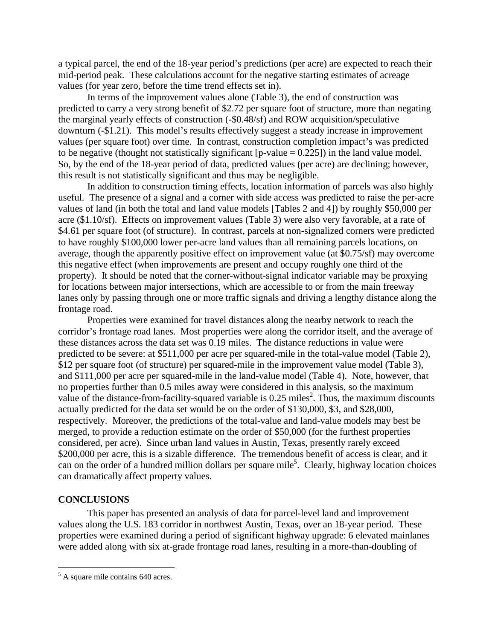a typical parcel, the end of the 18-year period's predictions (per acre) are expected to reach their mid-period peak. These calculations account for the negative starting estimates of acreage values (for year zero, before the time trend effects set in).

In terms of the improvement values alone (Table 3), the end of construction was predicted to carry a very strong benefit of \$2.72 per square foot of structure, more than negating the marginal yearly effects of construction (-\$0.48/sf) and ROW acquisition/speculative downturn (-\$1.21). This model's results effectively suggest a steady increase in improvement values (per square foot) over time. In contrast, construction completion impact's was predicted to be negative (thought not statistically significant  $[p-value = 0.225]$ ) in the land value model. So, by the end of the 18-year period of data, predicted values (per acre) are declining; however, this result is not statistically significant and thus may be negligible.

In addition to construction timing effects, location information of parcels was also highly useful. The presence of a signal and a corner with side access was predicted to raise the per-acre values of land (in both the total and land value models [Tables 2 and 4]) by roughly \$50,000 per acre (\$1.10/sf). Effects on improvement values (Table 3) were also very favorable, at a rate of \$4.61 per square foot (of structure). In contrast, parcels at non-signalized corners were predicted to have roughly \$100,000 lower per-acre land values than all remaining parcels locations, on average, though the apparently positive effect on improvement value (at \$0.75/sf) may overcome this negative effect (when improvements are present and occupy roughly one third of the property). It should be noted that the corner-without-signal indicator variable may be proxying for locations between major intersections, which are accessible to or from the main freeway lanes only by passing through one or more traffic signals and driving a lengthy distance along the frontage road.

Properties were examined for travel distances along the nearby network to reach the corridor's frontage road lanes. Most properties were along the corridor itself, and the average of these distances across the data set was 0.19 miles. The distance reductions in value were predicted to be severe: at \$511,000 per acre per squared-mile in the total-value model (Table 2), \$12 per square foot (of structure) per squared-mile in the improvement value model (Table 3), and \$111,000 per acre per squared-mile in the land-value model (Table 4). Note, however, that no properties further than 0.5 miles away were considered in this analysis, so the maximum value of the distance-from-facility-squared variable is  $0.25$  miles<sup>2</sup>. Thus, the maximum discounts actually predicted for the data set would be on the order of \$130,000, \$3, and \$28,000, respectively. Moreover, the predictions of the total-value and land-value models may best be merged, to provide a reduction estimate on the order of \$50,000 (for the furthest properties considered, per acre). Since urban land values in Austin, Texas, presently rarely exceed \$200,000 per acre, this is a sizable difference. The tremendous benefit of access is clear, and it can on the order of a hundred million dollars per square mile<sup>5</sup>. Clearly, highway location choices can dramatically affect property values.

## **CONCLUSIONS**

This paper has presented an analysis of data for parcel-level land and improvement values along the U.S. 183 corridor in northwest Austin, Texas, over an 18-year period. These properties were examined during a period of significant highway upgrade: 6 elevated mainlanes were added along with six at-grade frontage road lanes, resulting in a more-than-doubling of

<sup>&</sup>lt;sup>5</sup> A square mile contains 640 acres.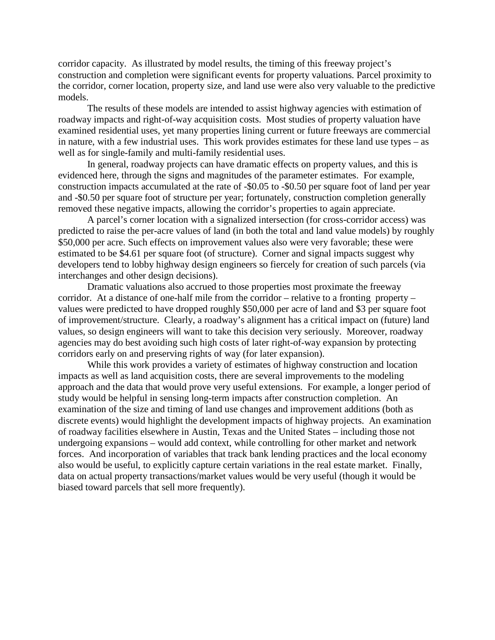corridor capacity. As illustrated by model results, the timing of this freeway project's construction and completion were significant events for property valuations. Parcel proximity to the corridor, corner location, property size, and land use were also very valuable to the predictive models.

The results of these models are intended to assist highway agencies with estimation of roadway impacts and right-of-way acquisition costs. Most studies of property valuation have examined residential uses, yet many properties lining current or future freeways are commercial in nature, with a few industrial uses. This work provides estimates for these land use types – as well as for single-family and multi-family residential uses.

In general, roadway projects can have dramatic effects on property values, and this is evidenced here, through the signs and magnitudes of the parameter estimates. For example, construction impacts accumulated at the rate of -\$0.05 to -\$0.50 per square foot of land per year and -\$0.50 per square foot of structure per year; fortunately, construction completion generally removed these negative impacts, allowing the corridor's properties to again appreciate.

A parcel's corner location with a signalized intersection (for cross-corridor access) was predicted to raise the per-acre values of land (in both the total and land value models) by roughly \$50,000 per acre. Such effects on improvement values also were very favorable; these were estimated to be \$4.61 per square foot (of structure). Corner and signal impacts suggest why developers tend to lobby highway design engineers so fiercely for creation of such parcels (via interchanges and other design decisions).

Dramatic valuations also accrued to those properties most proximate the freeway corridor. At a distance of one-half mile from the corridor – relative to a fronting property – values were predicted to have dropped roughly \$50,000 per acre of land and \$3 per square foot of improvement/structure. Clearly, a roadway's alignment has a critical impact on (future) land values, so design engineers will want to take this decision very seriously. Moreover, roadway agencies may do best avoiding such high costs of later right-of-way expansion by protecting corridors early on and preserving rights of way (for later expansion).

While this work provides a variety of estimates of highway construction and location impacts as well as land acquisition costs, there are several improvements to the modeling approach and the data that would prove very useful extensions. For example, a longer period of study would be helpful in sensing long-term impacts after construction completion. An examination of the size and timing of land use changes and improvement additions (both as discrete events) would highlight the development impacts of highway projects. An examination of roadway facilities elsewhere in Austin, Texas and the United States – including those not undergoing expansions – would add context, while controlling for other market and network forces. And incorporation of variables that track bank lending practices and the local economy also would be useful, to explicitly capture certain variations in the real estate market. Finally, data on actual property transactions/market values would be very useful (though it would be biased toward parcels that sell more frequently).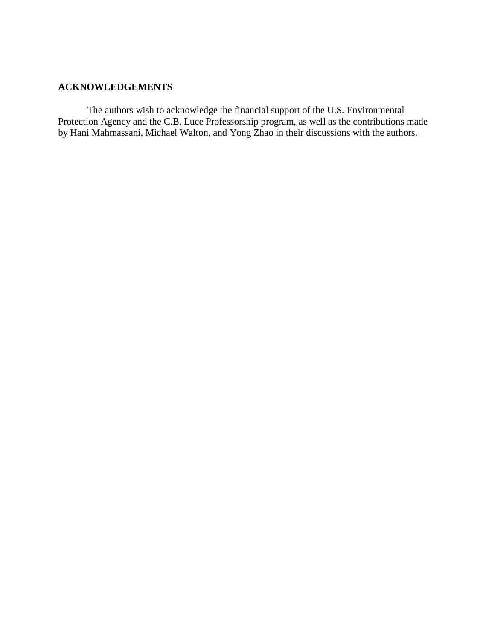# **ACKNOWLEDGEMENTS**

The authors wish to acknowledge the financial support of the U.S. Environmental Protection Agency and the C.B. Luce Professorship program, as well as the contributions made by Hani Mahmassani, Michael Walton, and Yong Zhao in their discussions with the authors.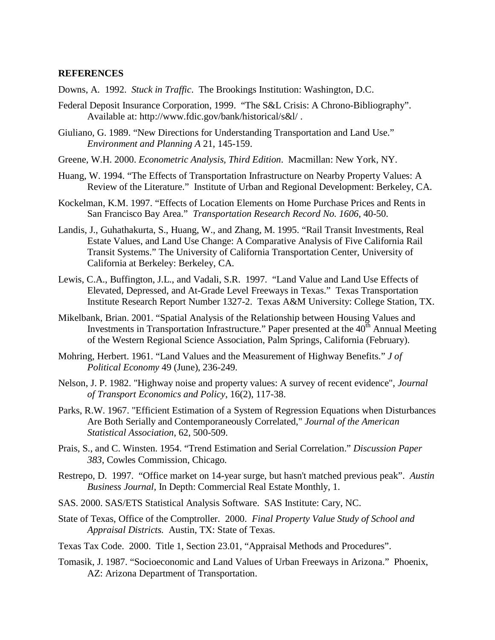## **REFERENCES**

Downs, A. 1992. *Stuck in Traffic*. The Brookings Institution: Washington, D.C.

- Federal Deposit Insurance Corporation, 1999. "The S&L Crisis: A Chrono-Bibliography". Available at: http://www.fdic.gov/bank/historical/s&l/ .
- Giuliano, G. 1989. "New Directions for Understanding Transportation and Land Use." *Environment and Planning A* 21, 145-159.
- Greene, W.H. 2000. *Econometric Analysis, Third Edition*. Macmillan: New York, NY.
- Huang, W. 1994. "The Effects of Transportation Infrastructure on Nearby Property Values: A Review of the Literature." Institute of Urban and Regional Development: Berkeley, CA.
- Kockelman, K.M. 1997. "Effects of Location Elements on Home Purchase Prices and Rents in San Francisco Bay Area." *Transportation Research Record No. 1606,* 40-50.
- Landis, J., Guhathakurta, S., Huang, W., and Zhang, M. 1995. "Rail Transit Investments, Real Estate Values, and Land Use Change: A Comparative Analysis of Five California Rail Transit Systems." The University of California Transportation Center, University of California at Berkeley: Berkeley, CA.
- Lewis, C.A., Buffington, J.L., and Vadali, S.R. 1997. "Land Value and Land Use Effects of Elevated, Depressed, and At-Grade Level Freeways in Texas." Texas Transportation Institute Research Report Number 1327-2. Texas A&M University: College Station, TX.
- Mikelbank, Brian. 2001. "Spatial Analysis of the Relationship between Housing Values and Investments in Transportation Infrastructure." Paper presented at the  $40<sup>th</sup>$  Annual Meeting of the Western Regional Science Association, Palm Springs, California (February).
- Mohring, Herbert. 1961. "Land Values and the Measurement of Highway Benefits." *J of Political Economy* 49 (June), 236-249.
- Nelson, J. P. 1982. "Highway noise and property values: A survey of recent evidence", *Journal of Transport Economics and Policy*, 16(2), 117-38.
- Parks, R.W. 1967. "Efficient Estimation of a System of Regression Equations when Disturbances Are Both Serially and Contemporaneously Correlated," *Journal of the American Statistical Association*, 62, 500-509.
- Prais, S., and C. Winsten. 1954. "Trend Estimation and Serial Correlation." *Discussion Paper 383*, Cowles Commission, Chicago.
- Restrepo, D. 1997. "Office market on 14-year surge, but hasn't matched previous peak". *Austin Business Journal,* In Depth: Commercial Real Estate Monthly, 1.
- SAS. 2000. SAS/ETS Statistical Analysis Software. SAS Institute: Cary, NC.
- State of Texas, Office of the Comptroller. 2000. *Final Property Value Study of School and Appraisal Districts.* Austin, TX: State of Texas.
- Texas Tax Code. 2000. Title 1, Section 23.01, "Appraisal Methods and Procedures".
- Tomasik, J. 1987. "Socioeconomic and Land Values of Urban Freeways in Arizona." Phoenix, AZ: Arizona Department of Transportation.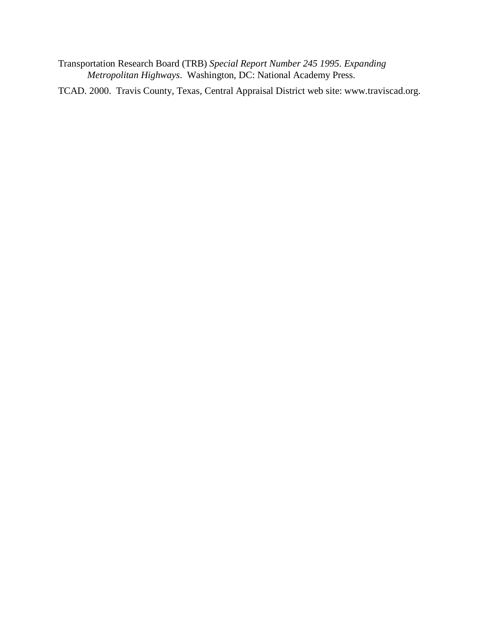Transportation Research Board (TRB) *Special Report Number 245 1995. Expanding Metropolitan Highways*. Washington, DC: National Academy Press.

TCAD. 2000. Travis County, Texas, Central Appraisal District web site: www.traviscad.org.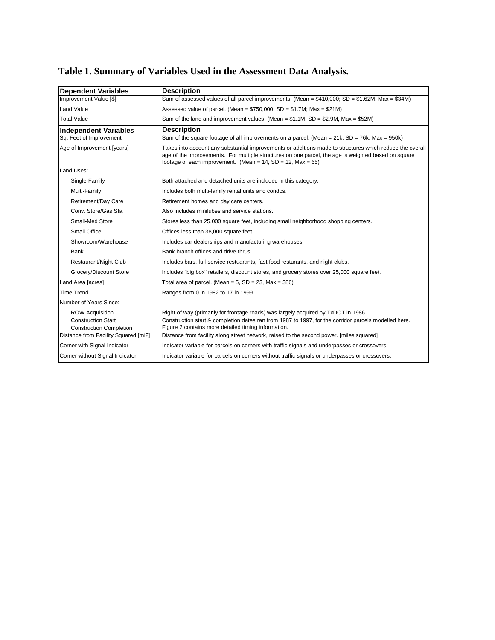| <b>Dependent Variables</b>                                                                                                    | <b>Description</b>                                                                                                                                                                                                                                                                                                                            |
|-------------------------------------------------------------------------------------------------------------------------------|-----------------------------------------------------------------------------------------------------------------------------------------------------------------------------------------------------------------------------------------------------------------------------------------------------------------------------------------------|
| Improvement Value [\$]                                                                                                        | Sum of assessed values of all parcel improvements. (Mean = $$410,000$ ; SD = $$1.62M$ ; Max = $$34M$ )                                                                                                                                                                                                                                        |
| <b>Land Value</b>                                                                                                             | Assessed value of parcel. (Mean = $$750,000$ ; SD = $$1.7M$ ; Max = $$21M$ )                                                                                                                                                                                                                                                                  |
| <b>Total Value</b>                                                                                                            | Sum of the land and improvement values. (Mean = $$1.1M$ , SD = $$2.9M$ , Max = $$52M$ )                                                                                                                                                                                                                                                       |
| <b>Independent Variables</b>                                                                                                  | <b>Description</b>                                                                                                                                                                                                                                                                                                                            |
| Sq. Feet of Improvement                                                                                                       | Sum of the square footage of all improvements on a parcel. (Mean = $21k$ ; SD = $76k$ , Max = $950k$ )                                                                                                                                                                                                                                        |
| Age of Improvement [years]                                                                                                    | Takes into account any substantial improvements or additions made to structures which reduce the overall<br>age of the improvements. For multiple structures on one parcel, the age is weighted based on square<br>footage of each improvement. (Mean = $14$ , SD = $12$ , Max = 65)                                                          |
| Land Uses:                                                                                                                    |                                                                                                                                                                                                                                                                                                                                               |
| Single-Family                                                                                                                 | Both attached and detached units are included in this category.                                                                                                                                                                                                                                                                               |
| Multi-Family                                                                                                                  | Includes both multi-family rental units and condos.                                                                                                                                                                                                                                                                                           |
| Retirement/Day Care                                                                                                           | Retirement homes and day care centers.                                                                                                                                                                                                                                                                                                        |
| Conv. Store/Gas Sta.                                                                                                          | Also includes minilubes and service stations.                                                                                                                                                                                                                                                                                                 |
| Small-Med Store                                                                                                               | Stores less than 25,000 square feet, including small neighborhood shopping centers.                                                                                                                                                                                                                                                           |
| Small Office                                                                                                                  | Offices less than 38,000 square feet.                                                                                                                                                                                                                                                                                                         |
| Showroom/Warehouse                                                                                                            | Includes car dealerships and manufacturing warehouses.                                                                                                                                                                                                                                                                                        |
| Bank                                                                                                                          | Bank branch offices and drive-thrus.                                                                                                                                                                                                                                                                                                          |
| Restaurant/Night Club                                                                                                         | Includes bars, full-service restuarants, fast food resturants, and night clubs.                                                                                                                                                                                                                                                               |
| Grocery/Discount Store                                                                                                        | Includes "big box" retailers, discount stores, and grocery stores over 25,000 square feet.                                                                                                                                                                                                                                                    |
| Land Area [acres]                                                                                                             | Total area of parcel. (Mean = $5$ , SD = $23$ , Max = $386$ )                                                                                                                                                                                                                                                                                 |
| <b>Time Trend</b>                                                                                                             | Ranges from 0 in 1982 to 17 in 1999.                                                                                                                                                                                                                                                                                                          |
| Number of Years Since:                                                                                                        |                                                                                                                                                                                                                                                                                                                                               |
| <b>ROW Acquisition</b><br><b>Construction Start</b><br><b>Construction Completion</b><br>Distance from Facility Squared [mi2] | Right-of-way (primarily for frontage roads) was largely acquired by TxDOT in 1986.<br>Construction start & completion dates ran from 1987 to 1997, for the corridor parcels modelled here.<br>Figure 2 contains more detailed timing information.<br>Distance from facility along street network, raised to the second power. [miles squared] |
| Corner with Signal Indicator                                                                                                  | Indicator variable for parcels on corners with traffic signals and underpasses or crossovers.                                                                                                                                                                                                                                                 |
| Corner without Signal Indicator                                                                                               | Indicator variable for parcels on corners without traffic signals or underpasses or crossovers.                                                                                                                                                                                                                                               |
|                                                                                                                               |                                                                                                                                                                                                                                                                                                                                               |

# **Table 1. Summary of Variables Used in the Assessment Data Analysis.**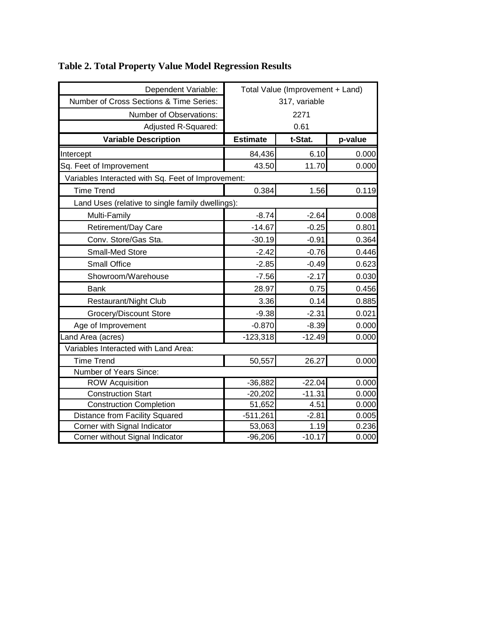| Dependent Variable:                                | Total Value (Improvement + Land) |          |         |  |  |  |
|----------------------------------------------------|----------------------------------|----------|---------|--|--|--|
| Number of Cross Sections & Time Series:            | 317, variable                    |          |         |  |  |  |
| Number of Observations:                            |                                  | 2271     |         |  |  |  |
| Adjusted R-Squared:                                | 0.61                             |          |         |  |  |  |
| <b>Variable Description</b>                        | <b>Estimate</b>                  | t-Stat.  | p-value |  |  |  |
| Intercept                                          | 84,436                           | 6.10     | 0.000   |  |  |  |
| Sq. Feet of Improvement                            | 43.50                            | 11.70    | 0.000   |  |  |  |
| Variables Interacted with Sq. Feet of Improvement: |                                  |          |         |  |  |  |
| <b>Time Trend</b>                                  | 0.384                            | 1.56     | 0.119   |  |  |  |
| Land Uses (relative to single family dwellings):   |                                  |          |         |  |  |  |
| Multi-Family                                       | $-8.74$                          | $-2.64$  | 0.008   |  |  |  |
| Retirement/Day Care                                | $-14.67$                         | $-0.25$  | 0.801   |  |  |  |
| Conv. Store/Gas Sta.                               | $-30.19$                         | $-0.91$  | 0.364   |  |  |  |
| <b>Small-Med Store</b>                             | $-2.42$                          | $-0.76$  | 0.446   |  |  |  |
| <b>Small Office</b>                                | $-2.85$                          | $-0.49$  | 0.623   |  |  |  |
| Showroom/Warehouse                                 | $-7.56$                          | $-2.17$  | 0.030   |  |  |  |
| <b>Bank</b>                                        | 28.97                            | 0.75     | 0.456   |  |  |  |
| Restaurant/Night Club                              | 3.36                             | 0.14     | 0.885   |  |  |  |
| Grocery/Discount Store                             | $-9.38$                          | $-2.31$  | 0.021   |  |  |  |
| Age of Improvement                                 | $-0.870$                         | $-8.39$  | 0.000   |  |  |  |
| Land Area (acres)                                  | $-123,318$                       | $-12.49$ | 0.000   |  |  |  |
| Variables Interacted with Land Area:               |                                  |          |         |  |  |  |
| <b>Time Trend</b>                                  | 50,557                           | 26.27    | 0.000   |  |  |  |
| Number of Years Since:                             |                                  |          |         |  |  |  |
| <b>ROW Acquisition</b>                             | $-36,882$                        | $-22.04$ | 0.000   |  |  |  |
| <b>Construction Start</b>                          | $-20,202$                        | $-11.31$ | 0.000   |  |  |  |
| <b>Construction Completion</b>                     | 51,652                           | 4.51     | 0.000   |  |  |  |
| <b>Distance from Facility Squared</b>              | $-511,261$                       | $-2.81$  | 0.005   |  |  |  |
| Corner with Signal Indicator                       | 53,063                           | 1.19     | 0.236   |  |  |  |
| Corner without Signal Indicator                    | $-96,206$                        | $-10.17$ | 0.000   |  |  |  |

# **Table 2. Total Property Value Model Regression Results**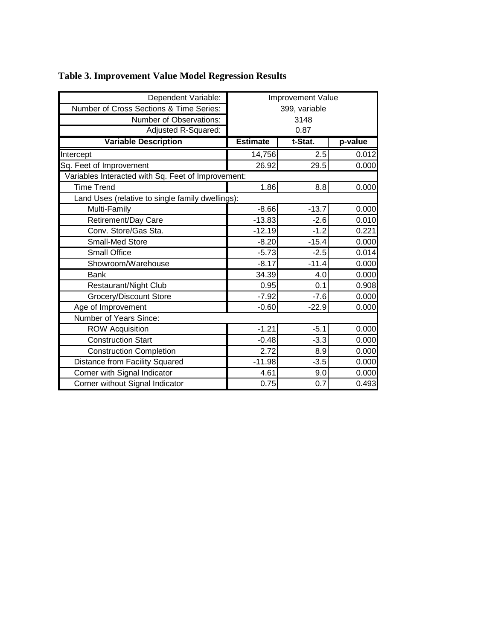| Dependent Variable:                                | Improvement Value |         |         |  |  |
|----------------------------------------------------|-------------------|---------|---------|--|--|
| Number of Cross Sections & Time Series:            | 399, variable     |         |         |  |  |
| Number of Observations:                            | 3148              |         |         |  |  |
| Adjusted R-Squared:                                | 0.87              |         |         |  |  |
| <b>Variable Description</b>                        | <b>Estimate</b>   | t-Stat. | p-value |  |  |
| Intercept                                          | 14,756            | 2.5     | 0.012   |  |  |
| Sq. Feet of Improvement                            | 26.92             | 29.5    | 0.000   |  |  |
| Variables Interacted with Sq. Feet of Improvement: |                   |         |         |  |  |
| <b>Time Trend</b>                                  | 1.86              | 8.8     | 0.000   |  |  |
| Land Uses (relative to single family dwellings):   |                   |         |         |  |  |
| Multi-Family                                       | $-8.66$           | $-13.7$ | 0.000   |  |  |
| Retirement/Day Care                                | $-13.83$          | $-2.6$  | 0.010   |  |  |
| Conv. Store/Gas Sta.                               | $-12.19$          | $-1.2$  | 0.221   |  |  |
| Small-Med Store                                    | $-8.20$           | $-15.4$ | 0.000   |  |  |
| <b>Small Office</b>                                | $-5.73$           | $-2.5$  | 0.014   |  |  |
| Showroom/Warehouse                                 | $-8.17$           | $-11.4$ | 0.000   |  |  |
| Bank                                               | 34.39             | 4.0     | 0.000   |  |  |
| Restaurant/Night Club                              | 0.95              | 0.1     | 0.908   |  |  |
| Grocery/Discount Store                             | $-7.92$           | $-7.6$  | 0.000   |  |  |
| Age of Improvement                                 | $-0.60$           | $-22.9$ | 0.000   |  |  |
| Number of Years Since:                             |                   |         |         |  |  |
| <b>ROW Acquisition</b>                             | $-1.21$           | $-5.1$  | 0.000   |  |  |
| <b>Construction Start</b>                          | $-0.48$           | $-3.3$  | 0.000   |  |  |
| <b>Construction Completion</b>                     | 2.72              | 8.9     | 0.000   |  |  |
| Distance from Facility Squared                     | $-11.98$          | $-3.5$  | 0.000   |  |  |
| Corner with Signal Indicator                       | 4.61              | 9.0     | 0.000   |  |  |
| Corner without Signal Indicator                    | 0.75              | 0.7     | 0.493   |  |  |

# **Table 3. Improvement Value Model Regression Results**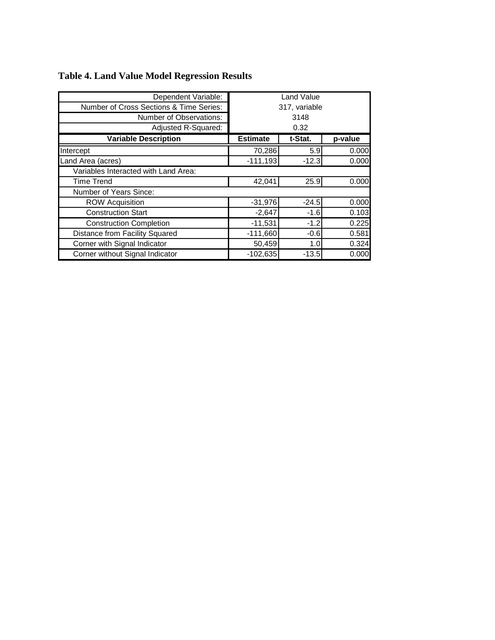| Dependent Variable:                     | Land Value      |               |         |
|-----------------------------------------|-----------------|---------------|---------|
| Number of Cross Sections & Time Series: |                 | 317, variable |         |
| Number of Observations:                 | 3148            |               |         |
| Adjusted R-Squared:                     | 0.32            |               |         |
| <b>Variable Description</b>             | <b>Estimate</b> | t-Stat.       | p-value |
| Intercept                               | 70,286          | 5.9           | 0.000   |
| Land Area (acres)                       | $-111,193$      | $-12.3$       | 0.000   |
| Variables Interacted with Land Area:    |                 |               |         |
| <b>Time Trend</b>                       | 42,041          | 25.9          | 0.000   |
| Number of Years Since:                  |                 |               |         |
| <b>ROW Acquisition</b>                  | $-31,976$       | $-24.5$       | 0.000   |
| <b>Construction Start</b>               | $-2,647$        | $-1.6$        | 0.103   |
| <b>Construction Completion</b>          | $-11,531$       | $-1.2$        | 0.225   |
| Distance from Facility Squared          | $-111,660$      | $-0.6$        | 0.581   |
| Corner with Signal Indicator            | 50,459          | 1.0           | 0.324   |
| Corner without Signal Indicator         | $-102,635$      | $-13.5$       | 0.000   |

# **Table 4. Land Value Model Regression Results**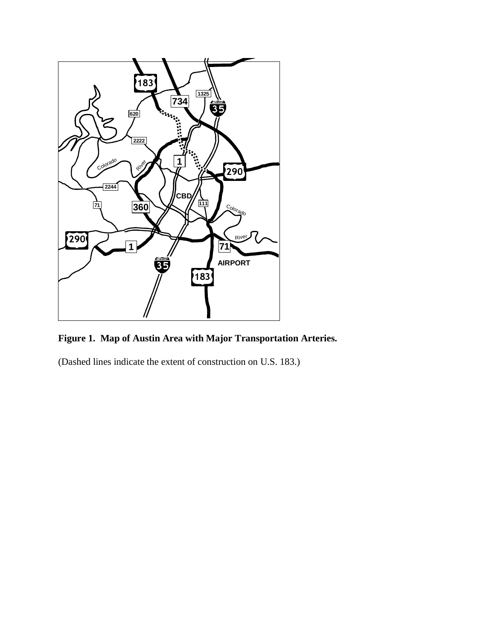

**Figure 1. Map of Austin Area with Major Transportation Arteries.** 

(Dashed lines indicate the extent of construction on U.S. 183.)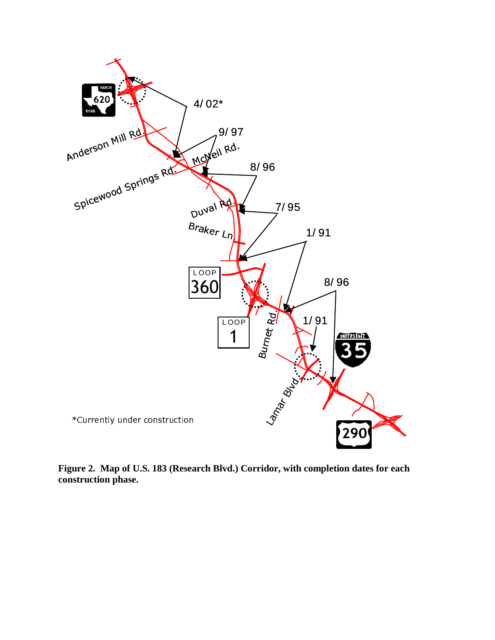

**Figure 2. Map of U.S. 183 (Research Blvd.) Corridor, with completion dates for each construction phase.**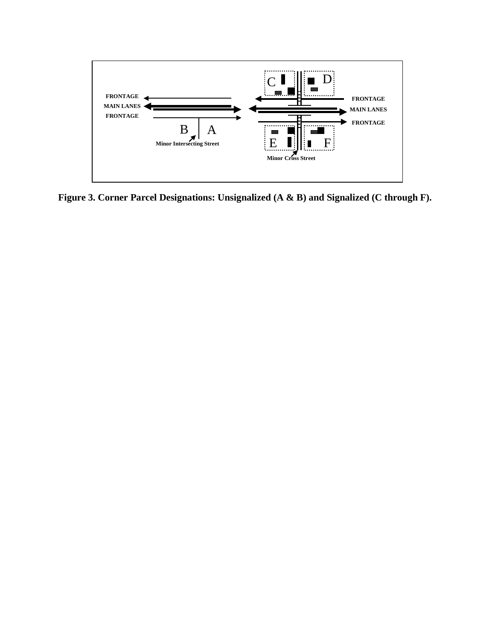

**Figure 3. Corner Parcel Designations: Unsignalized (A & B) and Signalized (C through F).**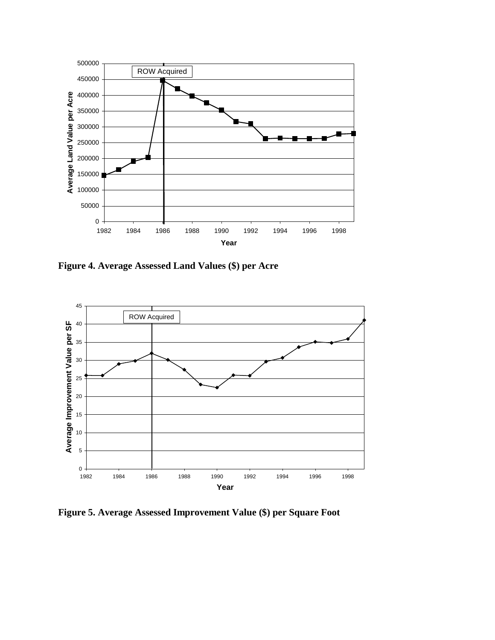

**Figure 4. Average Assessed Land Values (\$) per Acre** 



**Figure 5. Average Assessed Improvement Value (\$) per Square Foot**